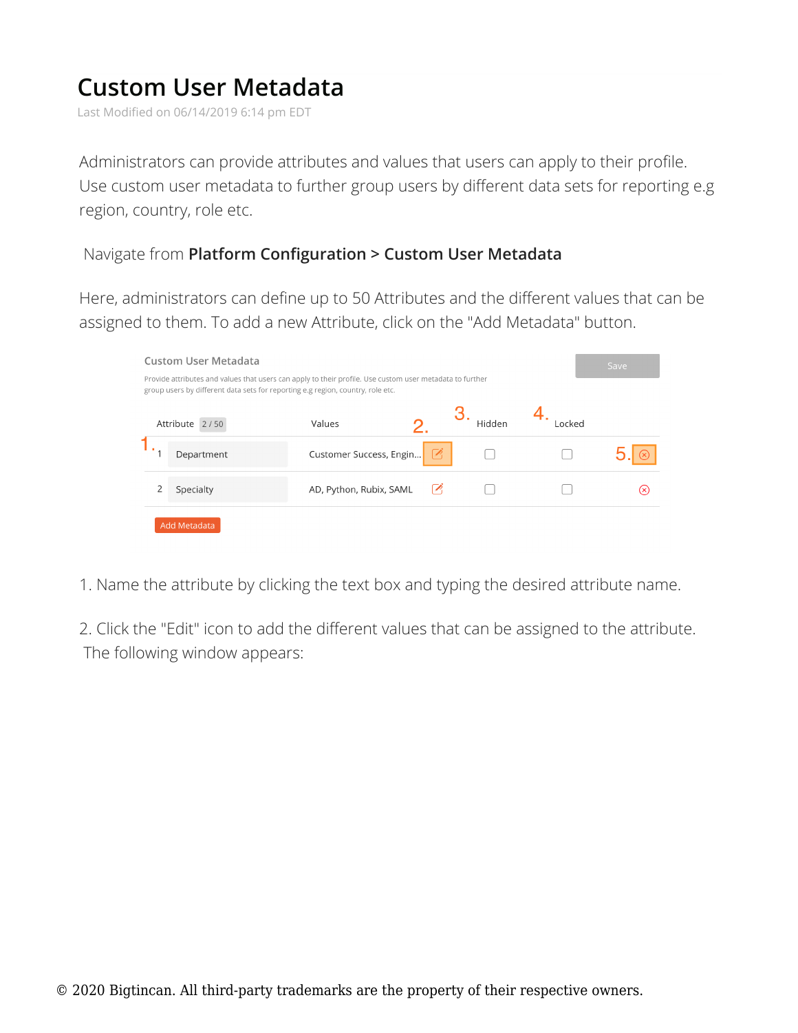## **Custom User Metadata**

Last Modified on 06/14/2019 6:14 pm EDT

Administrators can provide attributes and values that users can apply to their profile. Use custom user metadata to further group users by different data sets for reporting e.g region, country, role etc.

## Navigate from **Platform Configuration > Custom User Metadata**

Here, administrators can define up to 50 Attributes and the different values that can be assigned to them. To add a new Attribute, click on the "Add Metadata" button.

| Custom User Metadata                                                                                                                                                                        |                | Save                    |            |        |        |  |  |  |  |
|---------------------------------------------------------------------------------------------------------------------------------------------------------------------------------------------|----------------|-------------------------|------------|--------|--------|--|--|--|--|
| Provide attributes and values that users can apply to their profile. Use custom user metadata to further<br>group users by different data sets for reporting e.g region, country, role etc. |                |                         |            |        |        |  |  |  |  |
|                                                                                                                                                                                             | Attribute 2/50 | Values                  |            | Hidden | Locked |  |  |  |  |
|                                                                                                                                                                                             | Department     | Customer Success, Engin |            |        |        |  |  |  |  |
|                                                                                                                                                                                             | Specialty      | AD, Python, Rubix, SAML | $\sqrt{2}$ |        |        |  |  |  |  |
| Add Metadata                                                                                                                                                                                |                |                         |            |        |        |  |  |  |  |

1. Name the attribute by clicking the text box and typing the desired attribute name.

2. Click the "Edit" icon to add the different values that can be assigned to the attribute. The following window appears: